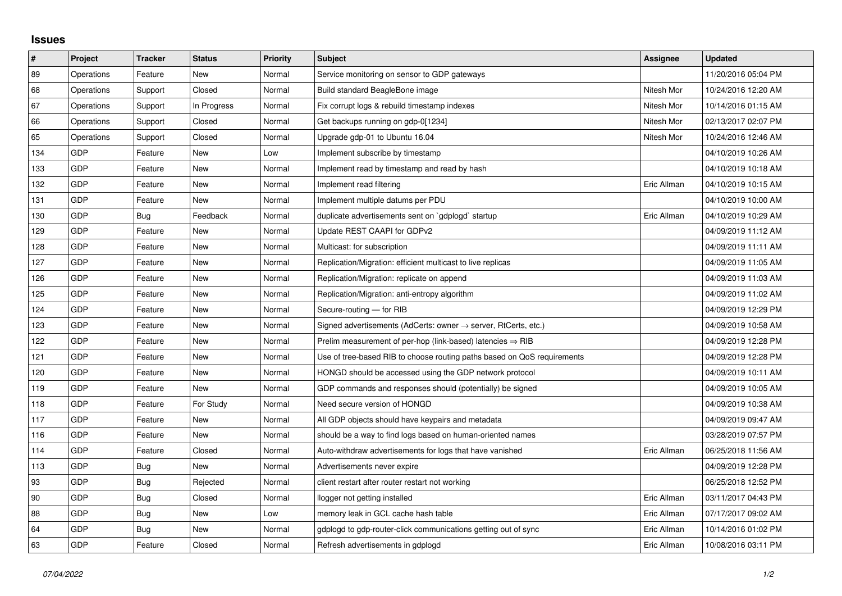## **Issues**

| $\vert$ # | Project    | <b>Tracker</b> | <b>Status</b> | <b>Priority</b> | <b>Subject</b>                                                             | Assignee    | <b>Updated</b>      |
|-----------|------------|----------------|---------------|-----------------|----------------------------------------------------------------------------|-------------|---------------------|
| 89        | Operations | Feature        | <b>New</b>    | Normal          | Service monitoring on sensor to GDP gateways                               |             | 11/20/2016 05:04 PM |
| 68        | Operations | Support        | Closed        | Normal          | Build standard BeagleBone image                                            | Nitesh Mor  | 10/24/2016 12:20 AM |
| 67        | Operations | Support        | In Progress   | Normal          | Fix corrupt logs & rebuild timestamp indexes                               | Nitesh Mor  | 10/14/2016 01:15 AM |
| 66        | Operations | Support        | Closed        | Normal          | Get backups running on gdp-0[1234]                                         | Nitesh Mor  | 02/13/2017 02:07 PM |
| 65        | Operations | Support        | Closed        | Normal          | Upgrade gdp-01 to Ubuntu 16.04                                             | Nitesh Mor  | 10/24/2016 12:46 AM |
| 134       | GDP        | Feature        | New           | Low             | Implement subscribe by timestamp                                           |             | 04/10/2019 10:26 AM |
| 133       | GDP        | Feature        | <b>New</b>    | Normal          | Implement read by timestamp and read by hash                               |             | 04/10/2019 10:18 AM |
| 132       | GDP        | Feature        | New           | Normal          | Implement read filtering                                                   | Eric Allman | 04/10/2019 10:15 AM |
| 131       | GDP        | Feature        | New           | Normal          | Implement multiple datums per PDU                                          |             | 04/10/2019 10:00 AM |
| 130       | GDP        | Bug            | Feedback      | Normal          | duplicate advertisements sent on `gdplogd` startup                         | Eric Allman | 04/10/2019 10:29 AM |
| 129       | GDP        | Feature        | New           | Normal          | Update REST CAAPI for GDPv2                                                |             | 04/09/2019 11:12 AM |
| 128       | GDP        | Feature        | New           | Normal          | Multicast: for subscription                                                |             | 04/09/2019 11:11 AM |
| 127       | GDP        | Feature        | New           | Normal          | Replication/Migration: efficient multicast to live replicas                |             | 04/09/2019 11:05 AM |
| 126       | GDP        | Feature        | New           | Normal          | Replication/Migration: replicate on append                                 |             | 04/09/2019 11:03 AM |
| 125       | GDP        | Feature        | New           | Normal          | Replication/Migration: anti-entropy algorithm                              |             | 04/09/2019 11:02 AM |
| 124       | GDP        | Feature        | <b>New</b>    | Normal          | Secure-routing - for RIB                                                   |             | 04/09/2019 12:29 PM |
| 123       | GDP        | Feature        | New           | Normal          | Signed advertisements (AdCerts: owner $\rightarrow$ server, RtCerts, etc.) |             | 04/09/2019 10:58 AM |
| 122       | GDP        | Feature        | New           | Normal          | Prelim measurement of per-hop (link-based) latencies $\Rightarrow$ RIB     |             | 04/09/2019 12:28 PM |
| 121       | GDP        | Feature        | New           | Normal          | Use of tree-based RIB to choose routing paths based on QoS requirements    |             | 04/09/2019 12:28 PM |
| 120       | GDP        | Feature        | New           | Normal          | HONGD should be accessed using the GDP network protocol                    |             | 04/09/2019 10:11 AM |
| 119       | GDP        | Feature        | New           | Normal          | GDP commands and responses should (potentially) be signed                  |             | 04/09/2019 10:05 AM |
| 118       | GDP        | Feature        | For Study     | Normal          | Need secure version of HONGD                                               |             | 04/09/2019 10:38 AM |
| 117       | GDP        | Feature        | <b>New</b>    | Normal          | All GDP objects should have keypairs and metadata                          |             | 04/09/2019 09:47 AM |
| 116       | GDP        | Feature        | <b>New</b>    | Normal          | should be a way to find logs based on human-oriented names                 |             | 03/28/2019 07:57 PM |
| 114       | GDP        | Feature        | Closed        | Normal          | Auto-withdraw advertisements for logs that have vanished                   | Eric Allman | 06/25/2018 11:56 AM |
| 113       | GDP        | Bug            | New           | Normal          | Advertisements never expire                                                |             | 04/09/2019 12:28 PM |
| 93        | GDP        | <b>Bug</b>     | Rejected      | Normal          | client restart after router restart not working                            |             | 06/25/2018 12:52 PM |
| 90        | GDP        | Bug            | Closed        | Normal          | llogger not getting installed                                              | Eric Allman | 03/11/2017 04:43 PM |
| 88        | GDP        | Bug            | New           | Low             | memory leak in GCL cache hash table                                        | Eric Allman | 07/17/2017 09:02 AM |
| 64        | GDP        | Bug            | New           | Normal          | gdplogd to gdp-router-click communications getting out of sync             | Eric Allman | 10/14/2016 01:02 PM |
| 63        | GDP        | Feature        | Closed        | Normal          | Refresh advertisements in gdplogd                                          | Eric Allman | 10/08/2016 03:11 PM |